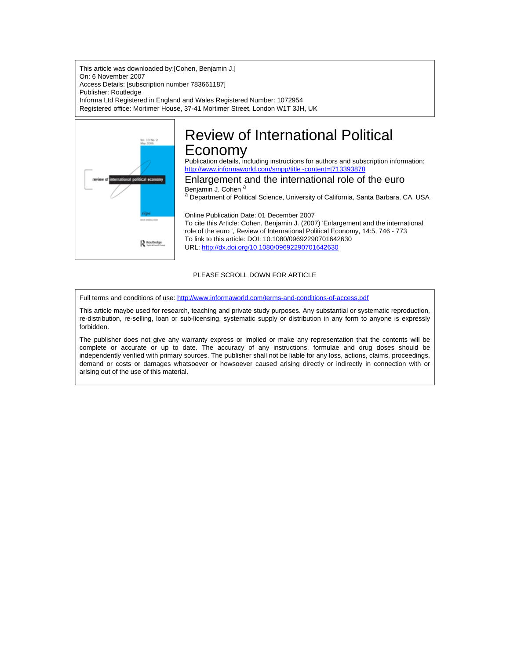This article was downloaded by:[Cohen, Benjamin J.] On: 6 November 2007 Access Details: [subscription number 783661187] Publisher: Routledge Informa Ltd Registered in England and Wales Registered Number: 1072954

Registered office: Mortimer House, 37-41 Mortimer Street, London W1T 3JH, UK



# Review of International Political Economy

Publication details, including instructions for authors and subscription information: <http://www.informaworld.com/smpp/title~content=t713393878>

# Enlargement and the international role of the euro Benjamin J. Cohen<sup>a</sup>

a Department of Political Science, University of California, Santa Barbara, CA, USA

Online Publication Date: 01 December 2007 To cite this Article: Cohen, Benjamin J. (2007) 'Enlargement and the international role of the euro ', Review of International Political Economy, 14:5, 746 - 773 To link to this article: DOI: 10.1080/09692290701642630 URL: <http://dx.doi.org/10.1080/09692290701642630>

# PLEASE SCROLL DOWN FOR ARTICLE

Full terms and conditions of use: <http://www.informaworld.com/terms-and-conditions-of-access.pdf>

This article maybe used for research, teaching and private study purposes. Any substantial or systematic reproduction, re-distribution, re-selling, loan or sub-licensing, systematic supply or distribution in any form to anyone is expressly forbidden.

The publisher does not give any warranty express or implied or make any representation that the contents will be complete or accurate or up to date. The accuracy of any instructions, formulae and drug doses should be independently verified with primary sources. The publisher shall not be liable for any loss, actions, claims, proceedings, demand or costs or damages whatsoever or howsoever caused arising directly or indirectly in connection with or arising out of the use of this material.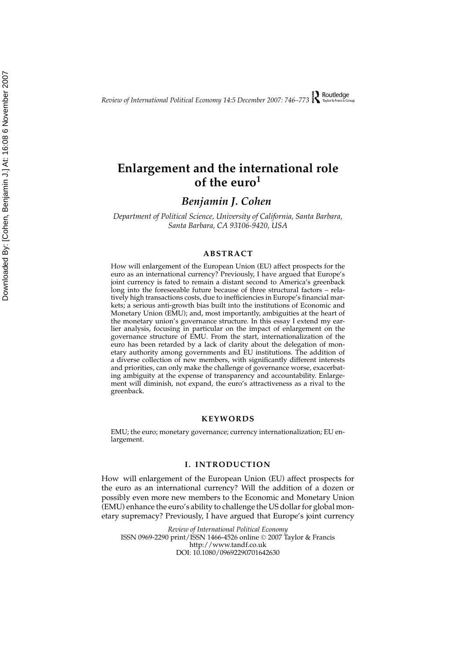# **Enlargement and the international role of the euro1**

*Benjamin J. Cohen*

*Department of Political Science, University of California, Santa Barbara, Santa Barbara, CA 93106-9420, USA*

# **ABSTRACT**

How will enlargement of the European Union (EU) affect prospects for the euro as an international currency? Previously, I have argued that Europe's joint currency is fated to remain a distant second to America's greenback long into the foreseeable future because of three structural factors – relatively high transactions costs, due to inefficiencies in Europe's financial markets; a serious anti-growth bias built into the institutions of Economic and Monetary Union (EMU); and, most importantly, ambiguities at the heart of the monetary union's governance structure. In this essay I extend my earlier analysis, focusing in particular on the impact of enlargement on the governance structure of EMU. From the start, internationalization of the euro has been retarded by a lack of clarity about the delegation of monetary authority among governments and EU institutions. The addition of a diverse collection of new members, with significantly different interests and priorities, can only make the challenge of governance worse, exacerbating ambiguity at the expense of transparency and accountability. Enlargement will diminish, not expand, the euro's attractiveness as a rival to the greenback.

## **KEYWORDS**

EMU; the euro; monetary governance; currency internationalization; EU enlargement.

# **I. INTRODUCTION**

How will enlargement of the European Union (EU) affect prospects for the euro as an international currency? Will the addition of a dozen or possibly even more new members to the Economic and Monetary Union (EMU) enhance the euro's ability to challenge the US dollar for global monetary supremacy? Previously, I have argued that Europe's joint currency

*Review of International Political Economy* ISSN 0969-2290 print/ISSN 1466-4526 online © 2007 Taylor & Francis http://www.tandf.co.uk DOI: 10.1080/09692290701642630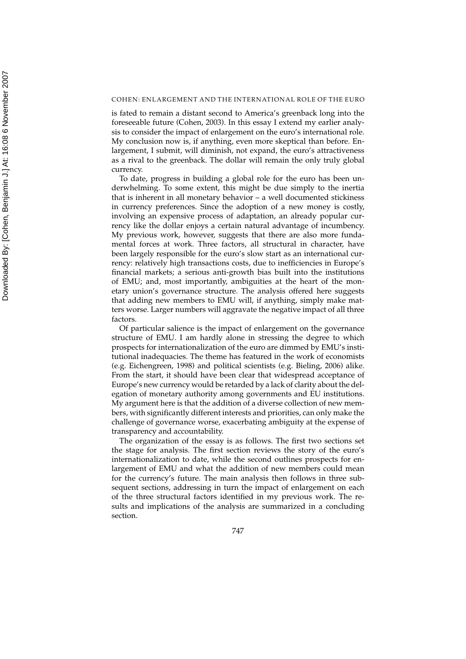is fated to remain a distant second to America's greenback long into the foreseeable future (Cohen, 2003). In this essay I extend my earlier analysis to consider the impact of enlargement on the euro's international role. My conclusion now is, if anything, even more skeptical than before. Enlargement, I submit, will diminish, not expand, the euro's attractiveness as a rival to the greenback. The dollar will remain the only truly global currency.

To date, progress in building a global role for the euro has been underwhelming. To some extent, this might be due simply to the inertia that is inherent in all monetary behavior–a well documented stickiness in currency preferences. Since the adoption of a new money is costly, involving an expensive process of adaptation, an already popular currency like the dollar enjoys a certain natural advantage of incumbency. My previous work, however, suggests that there are also more fundamental forces at work. Three factors, all structural in character, have been largely responsible for the euro's slow start as an international currency: relatively high transactions costs, due to inefficiencies in Europe's financial markets; a serious anti-growth bias built into the institutions of EMU; and, most importantly, ambiguities at the heart of the monetary union's governance structure. The analysis offered here suggests that adding new members to EMU will, if anything, simply make matters worse. Larger numbers will aggravate the negative impact of all three factors.

Of particular salience is the impact of enlargement on the governance structure of EMU. I am hardly alone in stressing the degree to which prospects for internationalization of the euro are dimmed by EMU's institutional inadequacies. The theme has featured in the work of economists (e.g. Eichengreen, 1998) and political scientists (e.g. Bieling, 2006) alike. From the start, it should have been clear that widespread acceptance of Europe's new currency would be retarded by a lack of clarity about the delegation of monetary authority among governments and EU institutions. My argument here is that the addition of a diverse collection of new members, with significantly different interests and priorities, can only make the challenge of governance worse, exacerbating ambiguity at the expense of transparency and accountability.

The organization of the essay is as follows. The first two sections set the stage for analysis. The first section reviews the story of the euro's internationalization to date, while the second outlines prospects for enlargement of EMU and what the addition of new members could mean for the currency's future. The main analysis then follows in three subsequent sections, addressing in turn the impact of enlargement on each of the three structural factors identified in my previous work. The results and implications of the analysis are summarized in a concluding section.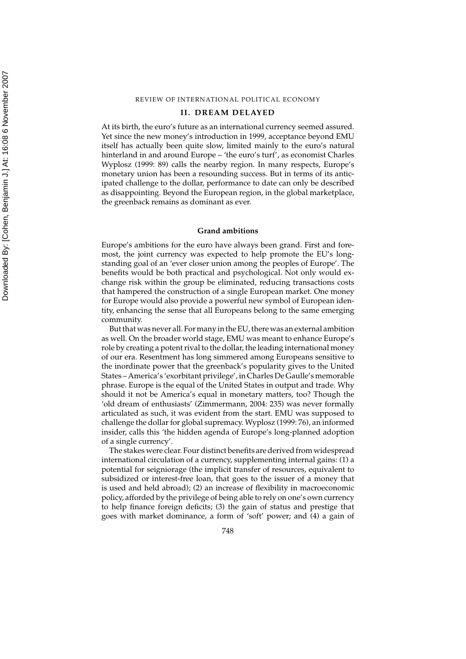## **II. DREAM DELAYED**

At its birth, the euro's future as an international currency seemed assured. Yet since the new money's introduction in 1999, acceptance beyond EMU itself has actually been quite slow, limited mainly to the euro's natural hinterland in and around Europe – 'the euro's turf', as economist Charles Wyplosz (1999: 89) calls the nearby region. In many respects, Europe's monetary union has been a resounding success. But in terms of its anticipated challenge to the dollar, performance to date can only be described as disappointing. Beyond the European region, in the global marketplace, the greenback remains as dominant as ever.

#### **Grand ambitions**

Europe's ambitions for the euro have always been grand. First and foremost, the joint currency was expected to help promote the EU's longstanding goal of an 'ever closer union among the peoples of Europe'. The benefits would be both practical and psychological. Not only would exchange risk within the group be eliminated, reducing transactions costs that hampered the construction of a single European market. One money for Europe would also provide a powerful new symbol of European identity, enhancing the sense that all Europeans belong to the same emerging community.

But that was never all. For many in the EU, there was an external ambition as well. On the broader world stage, EMU was meant to enhance Europe's role by creating a potent rival to the dollar, the leading international money of our era. Resentment has long simmered among Europeans sensitive to the inordinate power that the greenback's popularity gives to the United States – America's 'exorbitant privilege', in Charles De Gaulle's memorable phrase. Europe is the equal of the United States in output and trade. Why should it not be America's equal in monetary matters, too? Though the 'old dream of enthusiasts' (Zimmermann, 2004: 235) was never formally articulated as such, it was evident from the start. EMU was supposed to challenge the dollar for global supremacy. Wyplosz (1999: 76), an informed insider, calls this 'the hidden agenda of Europe's long-planned adoption of a single currency'.

The stakes were clear. Four distinct benefits are derived from widespread international circulation of a currency, supplementing internal gains: (1) a potential for seigniorage (the implicit transfer of resources, equivalent to subsidized or interest-free loan, that goes to the issuer of a money that is used and held abroad); (2) an increase of flexibility in macroeconomic policy, afforded by the privilege of being able to rely on one's own currency to help finance foreign deficits; (3) the gain of status and prestige that goes with market dominance, a form of 'soft' power; and (4) a gain of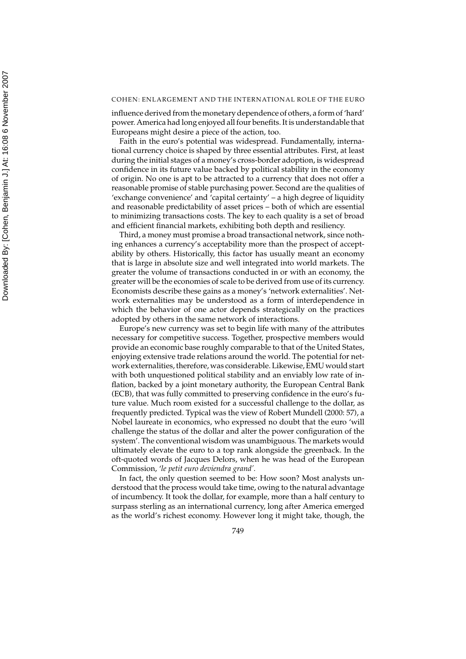influence derived from the monetary dependence of others, a form of 'hard' power. America had long enjoyed all four benefits. It is understandable that Europeans might desire a piece of the action, too.

Faith in the euro's potential was widespread. Fundamentally, international currency choice is shaped by three essential attributes. First, at least during the initial stages of a money's cross-border adoption, is widespread confidence in its future value backed by political stability in the economy of origin. No one is apt to be attracted to a currency that does not offer a reasonable promise of stable purchasing power. Second are the qualities of 'exchange convenience' and 'capital certainty' – a high degree of liquidity and reasonable predictability of asset prices – both of which are essential to minimizing transactions costs. The key to each quality is a set of broad and efficient financial markets, exhibiting both depth and resiliency.

Third, a money must promise a broad transactional network, since nothing enhances a currency's acceptability more than the prospect of acceptability by others. Historically, this factor has usually meant an economy that is large in absolute size and well integrated into world markets. The greater the volume of transactions conducted in or with an economy, the greater will be the economies of scale to be derived from use of its currency. Economists describe these gains as a money's 'network externalities'. Network externalities may be understood as a form of interdependence in which the behavior of one actor depends strategically on the practices adopted by others in the same network of interactions.

Europe's new currency was set to begin life with many of the attributes necessary for competitive success. Together, prospective members would provide an economic base roughly comparable to that of the United States, enjoying extensive trade relations around the world. The potential for network externalities, therefore, was considerable. Likewise, EMU would start with both unquestioned political stability and an enviably low rate of inflation, backed by a joint monetary authority, the European Central Bank (ECB), that was fully committed to preserving confidence in the euro's future value. Much room existed for a successful challenge to the dollar, as frequently predicted. Typical was the view of Robert Mundell (2000: 57), a Nobel laureate in economics, who expressed no doubt that the euro 'will challenge the status of the dollar and alter the power configuration of the system'. The conventional wisdom was unambiguous. The markets would ultimately elevate the euro to a top rank alongside the greenback. In the oft-quoted words of Jacques Delors, when he was head of the European Commission, '*le petit euro deviendra grand'.*

In fact, the only question seemed to be: How soon? Most analysts understood that the process would take time, owing to the natural advantage of incumbency. It took the dollar, for example, more than a half century to surpass sterling as an international currency, long after America emerged as the world's richest economy. However long it might take, though, the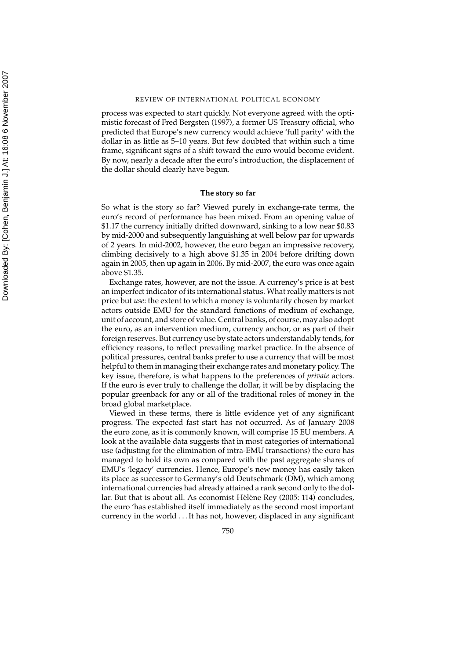process was expected to start quickly. Not everyone agreed with the optimistic forecast of Fred Bergsten (1997), a former US Treasury official, who predicted that Europe's new currency would achieve 'full parity' with the dollar in as little as 5–10 years. But few doubted that within such a time frame, significant signs of a shift toward the euro would become evident. By now, nearly a decade after the euro's introduction, the displacement of the dollar should clearly have begun.

## **The story so far**

So what is the story so far? Viewed purely in exchange-rate terms, the euro's record of performance has been mixed. From an opening value of \$1.17 the currency initially drifted downward, sinking to a low near \$0.83 by mid-2000 and subsequently languishing at well below par for upwards of 2 years. In mid-2002, however, the euro began an impressive recovery, climbing decisively to a high above \$1.35 in 2004 before drifting down again in 2005, then up again in 2006. By mid-2007, the euro was once again above \$1.35.

Exchange rates, however, are not the issue. A currency's price is at best an imperfect indicator of its international status. What really matters is not price but *use*: the extent to which a money is voluntarily chosen by market actors outside EMU for the standard functions of medium of exchange, unit of account, and store of value. Central banks, of course, may also adopt the euro, as an intervention medium, currency anchor, or as part of their foreign reserves. But currency use by state actors understandably tends, for efficiency reasons, to reflect prevailing market practice. In the absence of political pressures, central banks prefer to use a currency that will be most helpful to them in managing their exchange rates and monetary policy. The key issue, therefore, is what happens to the preferences of *private* actors. If the euro is ever truly to challenge the dollar, it will be by displacing the popular greenback for any or all of the traditional roles of money in the broad global marketplace.

Viewed in these terms, there is little evidence yet of any significant progress. The expected fast start has not occurred. As of January 2008 the euro zone, as it is commonly known, will comprise 15 EU members. A look at the available data suggests that in most categories of international use (adjusting for the elimination of intra-EMU transactions) the euro has managed to hold its own as compared with the past aggregate shares of EMU's 'legacy' currencies. Hence, Europe's new money has easily taken its place as successor to Germany's old Deutschmark (DM), which among international currencies had already attained a rank second only to the dollar. But that is about all. As economist Hèlène Rey (2005: 114) concludes, the euro 'has established itself immediately as the second most important currency in the world . . . It has not, however, displaced in any significant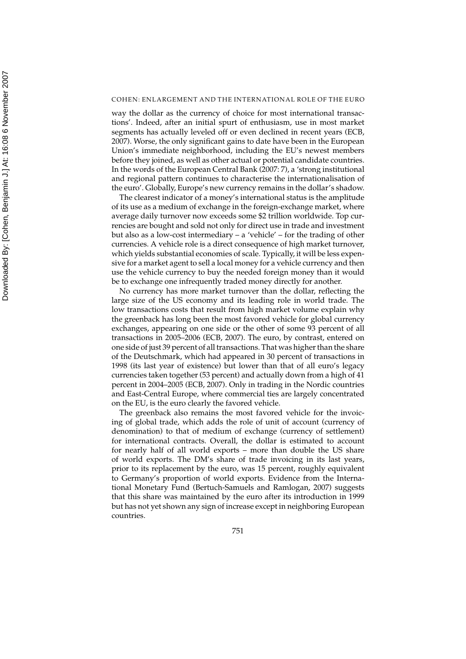way the dollar as the currency of choice for most international transactions'. Indeed, after an initial spurt of enthusiasm, use in most market segments has actually leveled off or even declined in recent years (ECB, 2007). Worse, the only significant gains to date have been in the European Union's immediate neighborhood, including the EU's newest members before they joined, as well as other actual or potential candidate countries. In the words of the European Central Bank (2007: 7), a 'strong institutional and regional pattern continues to characterise the internationalisation of the euro'. Globally, Europe's new currency remains in the dollar's shadow.

The clearest indicator of a money's international status is the amplitude of its use as a medium of exchange in the foreign-exchange market, where average daily turnover now exceeds some \$2 trillion worldwide. Top currencies are bought and sold not only for direct use in trade and investment but also as a low-cost intermediary – a 'vehicle' – for the trading of other currencies. A vehicle role is a direct consequence of high market turnover, which yields substantial economies of scale. Typically, it will be less expensive for a market agent to sell a local money for a vehicle currency and then use the vehicle currency to buy the needed foreign money than it would be to exchange one infrequently traded money directly for another.

No currency has more market turnover than the dollar, reflecting the large size of the US economy and its leading role in world trade. The low transactions costs that result from high market volume explain why the greenback has long been the most favored vehicle for global currency exchanges, appearing on one side or the other of some 93 percent of all transactions in 2005–2006 (ECB, 2007). The euro, by contrast, entered on one side of just 39 percent of all transactions. That was higher than the share of the Deutschmark, which had appeared in 30 percent of transactions in 1998 (its last year of existence) but lower than that of all euro's legacy currencies taken together (53 percent) and actually down from a high of 41 percent in 2004–2005 (ECB, 2007). Only in trading in the Nordic countries and East-Central Europe, where commercial ties are largely concentrated on the EU, is the euro clearly the favored vehicle.

The greenback also remains the most favored vehicle for the invoicing of global trade, which adds the role of unit of account (currency of denomination) to that of medium of exchange (currency of settlement) for international contracts. Overall, the dollar is estimated to account for nearly half of all world exports – more than double the US share of world exports. The DM's share of trade invoicing in its last years, prior to its replacement by the euro, was 15 percent, roughly equivalent to Germany's proportion of world exports. Evidence from the International Monetary Fund (Bertuch-Samuels and Ramlogan, 2007) suggests that this share was maintained by the euro after its introduction in 1999 but has not yet shown any sign of increase except in neighboring European countries.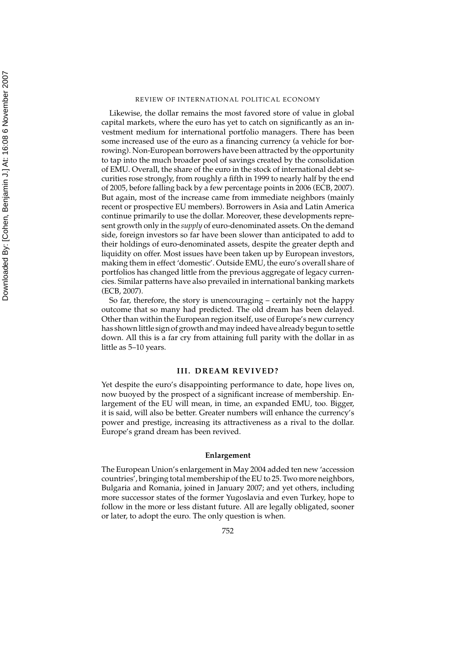Likewise, the dollar remains the most favored store of value in global capital markets, where the euro has yet to catch on significantly as an investment medium for international portfolio managers. There has been some increased use of the euro as a financing currency (a vehicle for borrowing). Non-European borrowers have been attracted by the opportunity to tap into the much broader pool of savings created by the consolidation of EMU. Overall, the share of the euro in the stock of international debt securities rose strongly, from roughly a fifth in 1999 to nearly half by the end of 2005, before falling back by a few percentage points in 2006 (ECB, 2007). But again, most of the increase came from immediate neighbors (mainly recent or prospective EU members). Borrowers in Asia and Latin America continue primarily to use the dollar. Moreover, these developments represent growth only in the *supply* of euro-denominated assets. On the demand side, foreign investors so far have been slower than anticipated to add to their holdings of euro-denominated assets, despite the greater depth and liquidity on offer. Most issues have been taken up by European investors, making them in effect 'domestic'. Outside EMU, the euro's overall share of portfolios has changed little from the previous aggregate of legacy currencies. Similar patterns have also prevailed in international banking markets (ECB, 2007).

So far, therefore, the story is unencouraging – certainly not the happy outcome that so many had predicted. The old dream has been delayed. Other than within the European region itself, use of Europe's new currency has shown little sign of growth and may indeed have already begun to settle down. All this is a far cry from attaining full parity with the dollar in as little as 5–10 years.

## **III. DREAM REVIVED?**

Yet despite the euro's disappointing performance to date, hope lives on, now buoyed by the prospect of a significant increase of membership. Enlargement of the EU will mean, in time, an expanded EMU, too. Bigger, it is said, will also be better. Greater numbers will enhance the currency's power and prestige, increasing its attractiveness as a rival to the dollar. Europe's grand dream has been revived.

#### **Enlargement**

The European Union's enlargement in May 2004 added ten new 'accession countries', bringing total membership of the EU to 25. Two more neighbors, Bulgaria and Romania, joined in January 2007; and yet others, including more successor states of the former Yugoslavia and even Turkey, hope to follow in the more or less distant future. All are legally obligated, sooner or later, to adopt the euro. The only question is when.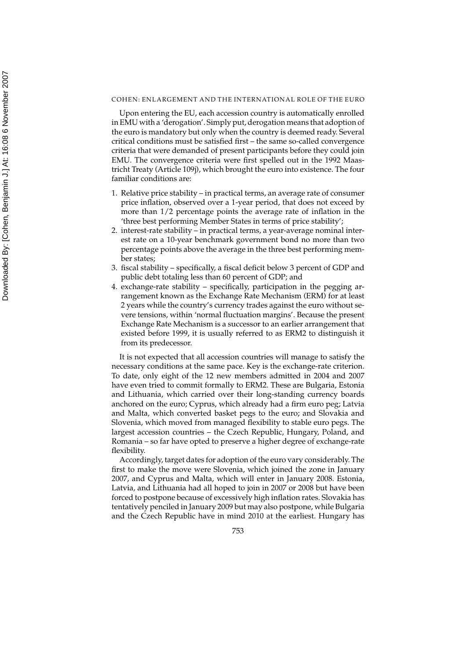Upon entering the EU, each accession country is automatically enrolled in EMU with a 'derogation'. Simply put, derogation means that adoption of the euro is mandatory but only when the country is deemed ready. Several critical conditions must be satisfied first – the same so-called convergence criteria that were demanded of present participants before they could join EMU. The convergence criteria were first spelled out in the 1992 Maastricht Treaty (Article 109j), which brought the euro into existence. The four familiar conditions are:

- 1. Relative price stability in practical terms, an average rate of consumer price inflation, observed over a 1-year period, that does not exceed by more than 1/2 percentage points the average rate of inflation in the 'three best performing Member States in terms of price stability';
- 2. interest-rate stability in practical terms, a year-average nominal interest rate on a 10-year benchmark government bond no more than two percentage points above the average in the three best performing member states;
- 3. fiscal stability specifically, a fiscal deficit below 3 percent of GDP and public debt totaling less than 60 percent of GDP; and
- 4. exchange-rate stability specifically, participation in the pegging arrangement known as the Exchange Rate Mechanism (ERM) for at least 2 years while the country's currency trades against the euro without severe tensions, within 'normal fluctuation margins'. Because the present Exchange Rate Mechanism is a successor to an earlier arrangement that existed before 1999, it is usually referred to as ERM2 to distinguish it from its predecessor.

It is not expected that all accession countries will manage to satisfy the necessary conditions at the same pace. Key is the exchange-rate criterion. To date, only eight of the 12 new members admitted in 2004 and 2007 have even tried to commit formally to ERM2. These are Bulgaria, Estonia and Lithuania, which carried over their long-standing currency boards anchored on the euro; Cyprus, which already had a firm euro peg; Latvia and Malta, which converted basket pegs to the euro; and Slovakia and Slovenia, which moved from managed flexibility to stable euro pegs. The largest accession countries – the Czech Republic, Hungary, Poland, and Romania – so far have opted to preserve a higher degree of exchange-rate flexibility.

Accordingly, target dates for adoption of the euro vary considerably. The first to make the move were Slovenia, which joined the zone in January 2007, and Cyprus and Malta, which will enter in January 2008. Estonia, Latvia, and Lithuania had all hoped to join in 2007 or 2008 but have been forced to postpone because of excessively high inflation rates. Slovakia has tentatively penciled in January 2009 but may also postpone, while Bulgaria and the Czech Republic have in mind 2010 at the earliest. Hungary has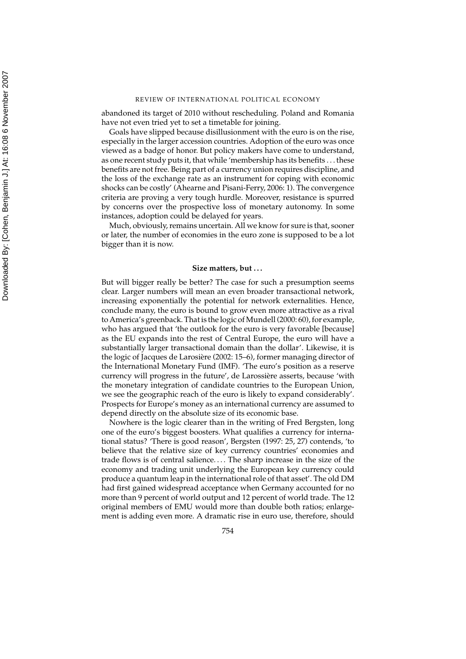abandoned its target of 2010 without rescheduling. Poland and Romania have not even tried yet to set a timetable for joining.

Goals have slipped because disillusionment with the euro is on the rise, especially in the larger accession countries. Adoption of the euro was once viewed as a badge of honor. But policy makers have come to understand, as one recent study puts it, that while 'membership has its benefits . . . these benefits are not free. Being part of a currency union requires discipline, and the loss of the exchange rate as an instrument for coping with economic shocks can be costly' (Ahearne and Pisani-Ferry, 2006: 1). The convergence criteria are proving a very tough hurdle. Moreover, resistance is spurred by concerns over the prospective loss of monetary autonomy. In some instances, adoption could be delayed for years.

Much, obviously, remains uncertain. All we know for sure is that, sooner or later, the number of economies in the euro zone is supposed to be a lot bigger than it is now.

#### **Size matters, but . . .**

But will bigger really be better? The case for such a presumption seems clear. Larger numbers will mean an even broader transactional network, increasing exponentially the potential for network externalities. Hence, conclude many, the euro is bound to grow even more attractive as a rival to America's greenback. That is the logic of Mundell (2000: 60), for example, who has argued that 'the outlook for the euro is very favorable [because] as the EU expands into the rest of Central Europe, the euro will have a substantially larger transactional domain than the dollar'. Likewise, it is the logic of Jacques de Larosière (2002: 15–6), former managing director of the International Monetary Fund (IMF). 'The euro's position as a reserve currency will progress in the future', de Larossière asserts, because 'with the monetary integration of candidate countries to the European Union, we see the geographic reach of the euro is likely to expand considerably'. Prospects for Europe's money as an international currency are assumed to depend directly on the absolute size of its economic base.

Nowhere is the logic clearer than in the writing of Fred Bergsten, long one of the euro's biggest boosters. What qualifies a currency for international status? 'There is good reason', Bergsten (1997: 25, 27) contends, 'to believe that the relative size of key currency countries' economies and trade flows is of central salience.... The sharp increase in the size of the economy and trading unit underlying the European key currency could produce a quantum leap in the international role of that asset'. The old DM had first gained widespread acceptance when Germany accounted for no more than 9 percent of world output and 12 percent of world trade. The 12 original members of EMU would more than double both ratios; enlargement is adding even more. A dramatic rise in euro use, therefore, should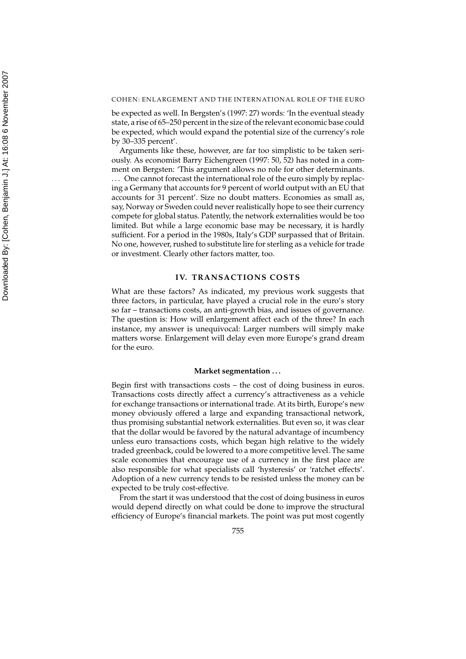be expected as well. In Bergsten's (1997: 27) words: 'In the eventual steady state, a rise of 65–250 percent in the size of the relevant economic base could be expected, which would expand the potential size of the currency's role by 30–335 percent'.

Arguments like these, however, are far too simplistic to be taken seriously. As economist Barry Eichengreen (1997: 50, 52) has noted in a comment on Bergsten: 'This argument allows no role for other determinants. ... One cannot forecast the international role of the euro simply by replacing a Germany that accounts for 9 percent of world output with an EU that accounts for 31 percent'. Size no doubt matters. Economies as small as, say, Norway or Sweden could never realistically hope to see their currency compete for global status. Patently, the network externalities would be too limited. But while a large economic base may be necessary, it is hardly sufficient. For a period in the 1980s, Italy's GDP surpassed that of Britain. No one, however, rushed to substitute lire for sterling as a vehicle for trade or investment. Clearly other factors matter, too.

# **IV. TRANSACTIONS COSTS**

What are these factors? As indicated, my previous work suggests that three factors, in particular, have played a crucial role in the euro's story so far – transactions costs, an anti-growth bias, and issues of governance. The question is: How will enlargement affect each of the three? In each instance, my answer is unequivocal: Larger numbers will simply make matters worse. Enlargement will delay even more Europe's grand dream for the euro.

## **Market segmentation . . .**

Begin first with transactions costs – the cost of doing business in euros. Transactions costs directly affect a currency's attractiveness as a vehicle for exchange transactions or international trade. At its birth, Europe's new money obviously offered a large and expanding transactional network, thus promising substantial network externalities. But even so, it was clear that the dollar would be favored by the natural advantage of incumbency unless euro transactions costs, which began high relative to the widely traded greenback, could be lowered to a more competitive level. The same scale economies that encourage use of a currency in the first place are also responsible for what specialists call 'hysteresis' or 'ratchet effects'. Adoption of a new currency tends to be resisted unless the money can be expected to be truly cost-effective.

From the start it was understood that the cost of doing business in euros would depend directly on what could be done to improve the structural efficiency of Europe's financial markets. The point was put most cogently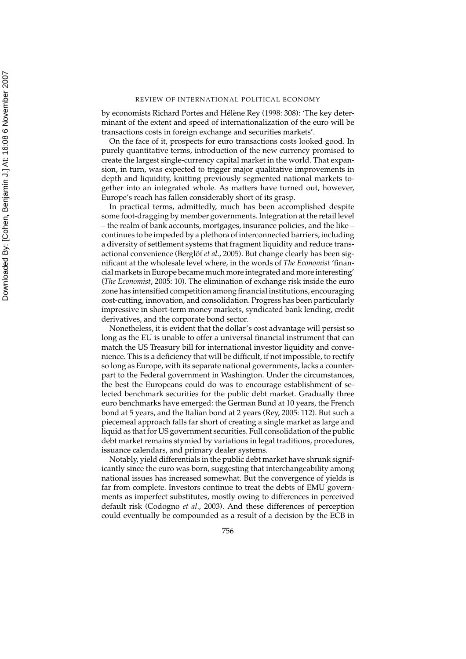by economists Richard Portes and Hélène Rey (1998: 308): 'The key determinant of the extent and speed of internationalization of the euro will be transactions costs in foreign exchange and securities markets'.

On the face of it, prospects for euro transactions costs looked good. In purely quantitative terms, introduction of the new currency promised to create the largest single-currency capital market in the world. That expansion, in turn, was expected to trigger major qualitative improvements in depth and liquidity, knitting previously segmented national markets together into an integrated whole. As matters have turned out, however, Europe's reach has fallen considerably short of its grasp.

In practical terms, admittedly, much has been accomplished despite some foot-dragging by member governments. Integration at the retail level – the realm of bank accounts, mortgages, insurance policies, and the like – continues to be impeded by a plethora of interconnected barriers, including a diversity of settlement systems that fragment liquidity and reduce transactional convenience (Berglöf et al., 2005). But change clearly has been significant at the wholesale level where, in the words of *The Economist* 'financial markets in Europe became much more integrated and more interesting' (*The Economist*, 2005: 10). The elimination of exchange risk inside the euro zone has intensified competition among financial institutions, encouraging cost-cutting, innovation, and consolidation. Progress has been particularly impressive in short-term money markets, syndicated bank lending, credit derivatives, and the corporate bond sector.

Nonetheless, it is evident that the dollar's cost advantage will persist so long as the EU is unable to offer a universal financial instrument that can match the US Treasury bill for international investor liquidity and convenience. This is a deficiency that will be difficult, if not impossible, to rectify so long as Europe, with its separate national governments, lacks a counterpart to the Federal government in Washington. Under the circumstances, the best the Europeans could do was to encourage establishment of selected benchmark securities for the public debt market. Gradually three euro benchmarks have emerged: the German Bund at 10 years, the French bond at 5 years, and the Italian bond at 2 years (Rey, 2005: 112). But such a piecemeal approach falls far short of creating a single market as large and liquid as that for US government securities. Full consolidation of the public debt market remains stymied by variations in legal traditions, procedures, issuance calendars, and primary dealer systems.

Notably, yield differentials in the public debt market have shrunk significantly since the euro was born, suggesting that interchangeability among national issues has increased somewhat. But the convergence of yields is far from complete. Investors continue to treat the debts of EMU governments as imperfect substitutes, mostly owing to differences in perceived default risk (Codogno *et al*., 2003). And these differences of perception could eventually be compounded as a result of a decision by the ECB in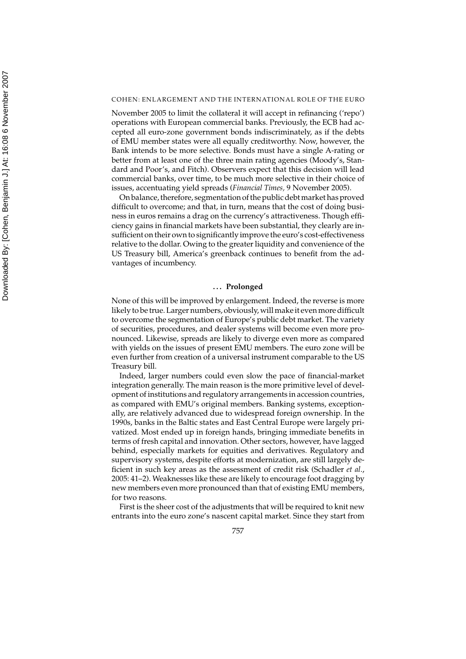November 2005 to limit the collateral it will accept in refinancing ('repo') operations with European commercial banks. Previously, the ECB had accepted all euro-zone government bonds indiscriminately, as if the debts of EMU member states were all equally creditworthy. Now, however, the Bank intends to be more selective. Bonds must have a single A-rating or better from at least one of the three main rating agencies (Moody's, Standard and Poor's, and Fitch). Observers expect that this decision will lead commercial banks, over time, to be much more selective in their choice of issues, accentuating yield spreads (*Financial Times,* 9 November 2005).

On balance, therefore, segmentation of the public debt market has proved difficult to overcome; and that, in turn, means that the cost of doing business in euros remains a drag on the currency's attractiveness. Though efficiency gains in financial markets have been substantial, they clearly are insufficient on their own to significantly improve the euro's cost-effectiveness relative to the dollar. Owing to the greater liquidity and convenience of the US Treasury bill, America's greenback continues to benefit from the advantages of incumbency.

## **. . . Prolonged**

None of this will be improved by enlargement. Indeed, the reverse is more likely to be true. Larger numbers, obviously, will make it even more difficult to overcome the segmentation of Europe's public debt market. The variety of securities, procedures, and dealer systems will become even more pronounced. Likewise, spreads are likely to diverge even more as compared with yields on the issues of present EMU members. The euro zone will be even further from creation of a universal instrument comparable to the US Treasury bill.

Indeed, larger numbers could even slow the pace of financial-market integration generally. The main reason is the more primitive level of development of institutions and regulatory arrangements in accession countries, as compared with EMU's original members. Banking systems, exceptionally, are relatively advanced due to widespread foreign ownership. In the 1990s, banks in the Baltic states and East Central Europe were largely privatized. Most ended up in foreign hands, bringing immediate benefits in terms of fresh capital and innovation. Other sectors, however, have lagged behind, especially markets for equities and derivatives. Regulatory and supervisory systems, despite efforts at modernization, are still largely deficient in such key areas as the assessment of credit risk (Schadler *et al*., 2005: 41–2). Weaknesses like these are likely to encourage foot dragging by new members even more pronounced than that of existing EMU members, for two reasons.

First is the sheer cost of the adjustments that will be required to knit new entrants into the euro zone's nascent capital market. Since they start from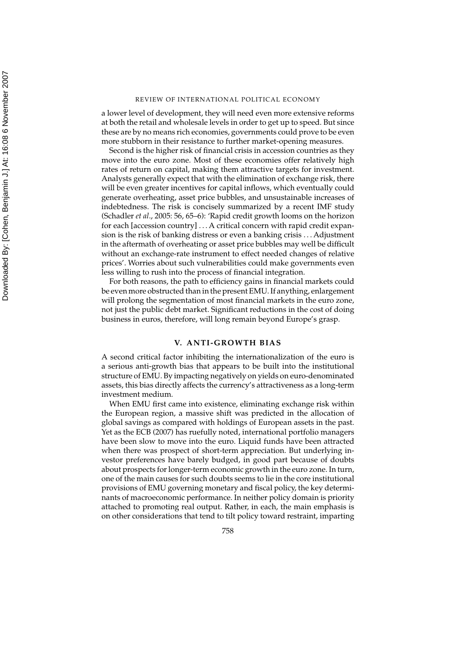a lower level of development, they will need even more extensive reforms at both the retail and wholesale levels in order to get up to speed. But since these are by no means rich economies, governments could prove to be even more stubborn in their resistance to further market-opening measures.

Second is the higher risk of financial crisis in accession countries as they move into the euro zone. Most of these economies offer relatively high rates of return on capital, making them attractive targets for investment. Analysts generally expect that with the elimination of exchange risk, there will be even greater incentives for capital inflows, which eventually could generate overheating, asset price bubbles, and unsustainable increases of indebtedness. The risk is concisely summarized by a recent IMF study (Schadler *et al*., 2005: 56, 65–6): 'Rapid credit growth looms on the horizon for each [accession country] . . . A critical concern with rapid credit expansion is the risk of banking distress or even a banking crisis . . . Adjustment in the aftermath of overheating or asset price bubbles may well be difficult without an exchange-rate instrument to effect needed changes of relative prices'. Worries about such vulnerabilities could make governments even less willing to rush into the process of financial integration.

For both reasons, the path to efficiency gains in financial markets could be even more obstructed than in the present EMU. If anything, enlargement will prolong the segmentation of most financial markets in the euro zone, not just the public debt market. Significant reductions in the cost of doing business in euros, therefore, will long remain beyond Europe's grasp.

# **V. ANTI-GROWTH BIAS**

A second critical factor inhibiting the internationalization of the euro is a serious anti-growth bias that appears to be built into the institutional structure of EMU. By impacting negatively on yields on euro-denominated assets, this bias directly affects the currency's attractiveness as a long-term investment medium.

When EMU first came into existence, eliminating exchange risk within the European region, a massive shift was predicted in the allocation of global savings as compared with holdings of European assets in the past. Yet as the ECB (2007) has ruefully noted, international portfolio managers have been slow to move into the euro. Liquid funds have been attracted when there was prospect of short-term appreciation. But underlying investor preferences have barely budged, in good part because of doubts about prospects for longer-term economic growth in the euro zone. In turn, one of the main causes for such doubts seems to lie in the core institutional provisions of EMU governing monetary and fiscal policy, the key determinants of macroeconomic performance. In neither policy domain is priority attached to promoting real output. Rather, in each, the main emphasis is on other considerations that tend to tilt policy toward restraint, imparting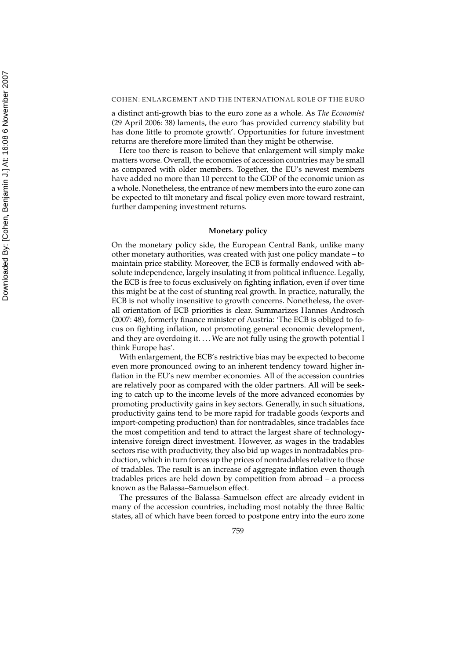a distinct anti-growth bias to the euro zone as a whole. As *The Economist* (29 April 2006: 38) laments, the euro 'has provided currency stability but has done little to promote growth'. Opportunities for future investment returns are therefore more limited than they might be otherwise.

Here too there is reason to believe that enlargement will simply make matters worse. Overall, the economies of accession countries may be small as compared with older members. Together, the EU's newest members have added no more than 10 percent to the GDP of the economic union as a whole. Nonetheless, the entrance of new members into the euro zone can be expected to tilt monetary and fiscal policy even more toward restraint, further dampening investment returns.

## **Monetary policy**

On the monetary policy side, the European Central Bank, unlike many other monetary authorities, was created with just one policy mandate – to maintain price stability. Moreover, the ECB is formally endowed with absolute independence, largely insulating it from political influence. Legally, the ECB is free to focus exclusively on fighting inflation, even if over time this might be at the cost of stunting real growth. In practice, naturally, the ECB is not wholly insensitive to growth concerns. Nonetheless, the overall orientation of ECB priorities is clear. Summarizes Hannes Androsch (2007: 48), formerly finance minister of Austria: 'The ECB is obliged to focus on fighting inflation, not promoting general economic development, and they are overdoing it.... We are not fully using the growth potential I think Europe has'.

With enlargement, the ECB's restrictive bias may be expected to become even more pronounced owing to an inherent tendency toward higher inflation in the EU's new member economies. All of the accession countries are relatively poor as compared with the older partners. All will be seeking to catch up to the income levels of the more advanced economies by promoting productivity gains in key sectors. Generally, in such situations, productivity gains tend to be more rapid for tradable goods (exports and import-competing production) than for nontradables, since tradables face the most competition and tend to attract the largest share of technologyintensive foreign direct investment. However, as wages in the tradables sectors rise with productivity, they also bid up wages in nontradables production, which in turn forces up the prices of nontradables relative to those of tradables. The result is an increase of aggregate inflation even though tradables prices are held down by competition from abroad – a process known as the Balassa–Samuelson effect.

The pressures of the Balassa–Samuelson effect are already evident in many of the accession countries, including most notably the three Baltic states, all of which have been forced to postpone entry into the euro zone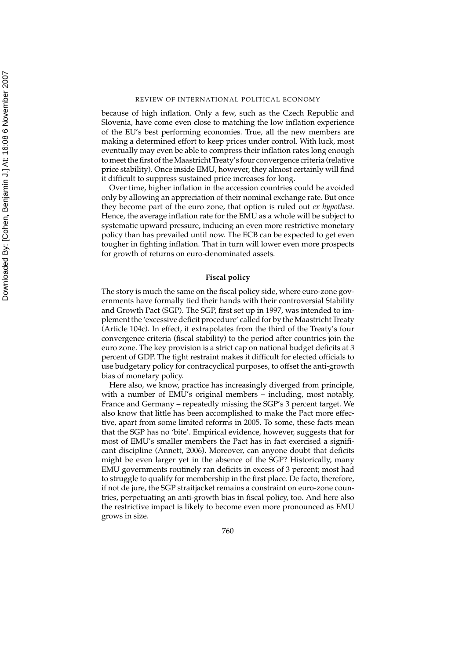because of high inflation. Only a few, such as the Czech Republic and Slovenia, have come even close to matching the low inflation experience of the EU's best performing economies. True, all the new members are making a determined effort to keep prices under control. With luck, most eventually may even be able to compress their inflation rates long enough to meet the first of the Maastricht Treaty's four convergence criteria (relative price stability). Once inside EMU, however, they almost certainly will find it difficult to suppress sustained price increases for long.

Over time, higher inflation in the accession countries could be avoided only by allowing an appreciation of their nominal exchange rate. But once they become part of the euro zone, that option is ruled out *ex hypothesi*. Hence, the average inflation rate for the EMU as a whole will be subject to systematic upward pressure, inducing an even more restrictive monetary policy than has prevailed until now. The ECB can be expected to get even tougher in fighting inflation. That in turn will lower even more prospects for growth of returns on euro-denominated assets.

# **Fiscal policy**

The story is much the same on the fiscal policy side, where euro-zone governments have formally tied their hands with their controversial Stability and Growth Pact (SGP). The SGP, first set up in 1997, was intended to implement the 'excessive deficit procedure' called for by the Maastricht Treaty (Article 104c). In effect, it extrapolates from the third of the Treaty's four convergence criteria (fiscal stability) to the period after countries join the euro zone. The key provision is a strict cap on national budget deficits at 3 percent of GDP. The tight restraint makes it difficult for elected officials to use budgetary policy for contracyclical purposes, to offset the anti-growth bias of monetary policy.

Here also, we know, practice has increasingly diverged from principle, with a number of EMU's original members – including, most notably, France and Germany – repeatedly missing the SGP's 3 percent target. We also know that little has been accomplished to make the Pact more effective, apart from some limited reforms in 2005. To some, these facts mean that the SGP has no 'bite'. Empirical evidence, however, suggests that for most of EMU's smaller members the Pact has in fact exercised a significant discipline (Annett, 2006). Moreover, can anyone doubt that deficits might be even larger yet in the absence of the SGP? Historically, many EMU governments routinely ran deficits in excess of 3 percent; most had to struggle to qualify for membership in the first place. De facto, therefore, if not de jure, the SGP straitjacket remains a constraint on euro-zone countries, perpetuating an anti-growth bias in fiscal policy, too. And here also the restrictive impact is likely to become even more pronounced as EMU grows in size.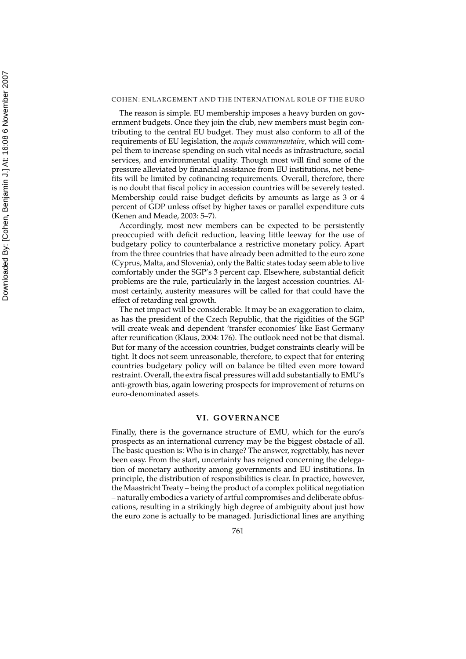The reason is simple. EU membership imposes a heavy burden on government budgets. Once they join the club, new members must begin contributing to the central EU budget. They must also conform to all of the requirements of EU legislation, the *acquis communautaire*, which will compel them to increase spending on such vital needs as infrastructure, social services, and environmental quality. Though most will find some of the pressure alleviated by financial assistance from EU institutions, net benefits will be limited by cofinancing requirements. Overall, therefore, there is no doubt that fiscal policy in accession countries will be severely tested. Membership could raise budget deficits by amounts as large as 3 or 4 percent of GDP unless offset by higher taxes or parallel expenditure cuts (Kenen and Meade, 2003: 5–7).

Accordingly, most new members can be expected to be persistently preoccupied with deficit reduction, leaving little leeway for the use of budgetary policy to counterbalance a restrictive monetary policy. Apart from the three countries that have already been admitted to the euro zone (Cyprus, Malta, and Slovenia), only the Baltic states today seem able to live comfortably under the SGP's 3 percent cap. Elsewhere, substantial deficit problems are the rule, particularly in the largest accession countries. Almost certainly, austerity measures will be called for that could have the effect of retarding real growth.

The net impact will be considerable. It may be an exaggeration to claim, as has the president of the Czech Republic, that the rigidities of the SGP will create weak and dependent 'transfer economies' like East Germany after reunification (Klaus, 2004: 176). The outlook need not be that dismal. But for many of the accession countries, budget constraints clearly will be tight. It does not seem unreasonable, therefore, to expect that for entering countries budgetary policy will on balance be tilted even more toward restraint. Overall, the extra fiscal pressures will add substantially to EMU's anti-growth bias, again lowering prospects for improvement of returns on euro-denominated assets.

# **VI. GOVERNANCE**

Finally, there is the governance structure of EMU, which for the euro's prospects as an international currency may be the biggest obstacle of all. The basic question is: Who is in charge? The answer, regrettably, has never been easy. From the start, uncertainty has reigned concerning the delegation of monetary authority among governments and EU institutions. In principle, the distribution of responsibilities is clear. In practice, however, the Maastricht Treaty – being the product of a complex political negotiation – naturally embodies a variety of artful compromises and deliberate obfuscations, resulting in a strikingly high degree of ambiguity about just how the euro zone is actually to be managed. Jurisdictional lines are anything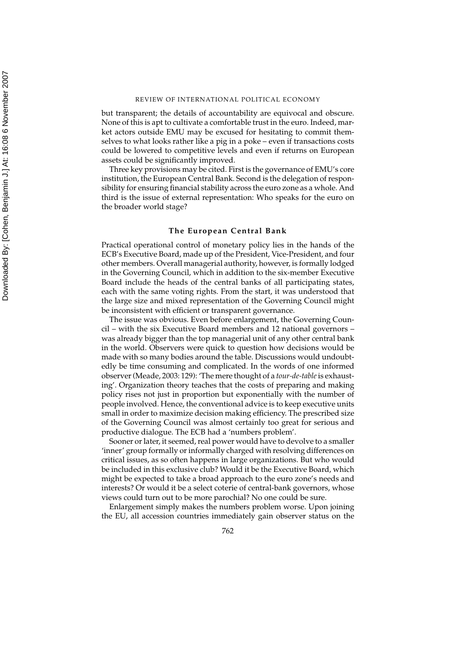but transparent; the details of accountability are equivocal and obscure. None of this is apt to cultivate a comfortable trust in the euro. Indeed, market actors outside EMU may be excused for hesitating to commit themselves to what looks rather like a pig in a poke – even if transactions costs could be lowered to competitive levels and even if returns on European assets could be significantly improved.

Three key provisions may be cited. First is the governance of EMU's core institution, the European Central Bank. Second is the delegation of responsibility for ensuring financial stability across the euro zone as a whole. And third is the issue of external representation: Who speaks for the euro on the broader world stage?

## **The European Central Bank**

Practical operational control of monetary policy lies in the hands of the ECB's Executive Board, made up of the President, Vice-President, and four other members. Overall managerial authority, however, is formally lodged in the Governing Council, which in addition to the six-member Executive Board include the heads of the central banks of all participating states, each with the same voting rights. From the start, it was understood that the large size and mixed representation of the Governing Council might be inconsistent with efficient or transparent governance.

The issue was obvious. Even before enlargement, the Governing Council – with the six Executive Board members and 12 national governors – was already bigger than the top managerial unit of any other central bank in the world. Observers were quick to question how decisions would be made with so many bodies around the table. Discussions would undoubtedly be time consuming and complicated. In the words of one informed observer (Meade, 2003: 129): 'The mere thought of a *tour-de-table*is exhausting'. Organization theory teaches that the costs of preparing and making policy rises not just in proportion but exponentially with the number of people involved. Hence, the conventional advice is to keep executive units small in order to maximize decision making efficiency. The prescribed size of the Governing Council was almost certainly too great for serious and productive dialogue. The ECB had a 'numbers problem'.

Sooner or later, it seemed, real power would have to devolve to a smaller 'inner' group formally or informally charged with resolving differences on critical issues, as so often happens in large organizations. But who would be included in this exclusive club? Would it be the Executive Board, which might be expected to take a broad approach to the euro zone's needs and interests? Or would it be a select coterie of central-bank governors, whose views could turn out to be more parochial? No one could be sure.

Enlargement simply makes the numbers problem worse. Upon joining the EU, all accession countries immediately gain observer status on the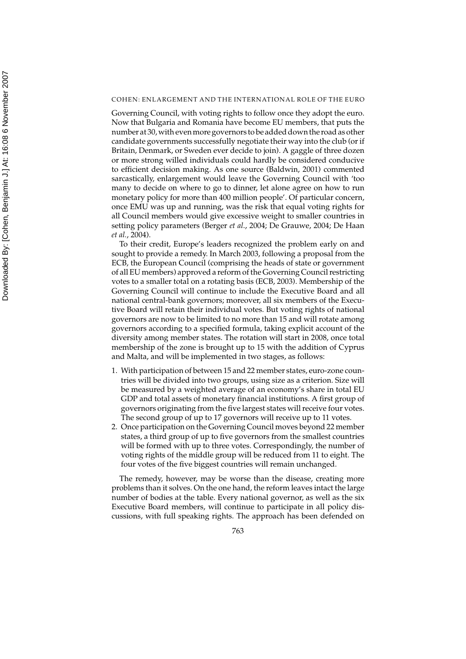Governing Council, with voting rights to follow once they adopt the euro. Now that Bulgaria and Romania have become EU members, that puts the number at 30, with even more governors to be added down the road as other candidate governments successfully negotiate their way into the club (or if Britain, Denmark, or Sweden ever decide to join). A gaggle of three dozen or more strong willed individuals could hardly be considered conducive to efficient decision making. As one source (Baldwin, 2001) commented sarcastically, enlargement would leave the Governing Council with 'too many to decide on where to go to dinner, let alone agree on how to run monetary policy for more than 400 million people'. Of particular concern, once EMU was up and running, was the risk that equal voting rights for all Council members would give excessive weight to smaller countries in setting policy parameters (Berger *et al*., 2004; De Grauwe, 2004; De Haan *et al.*, 2004).

To their credit, Europe's leaders recognized the problem early on and sought to provide a remedy. In March 2003, following a proposal from the ECB, the European Council (comprising the heads of state or government of all EU members) approved a reform of the Governing Council restricting votes to a smaller total on a rotating basis (ECB, 2003). Membership of the Governing Council will continue to include the Executive Board and all national central-bank governors; moreover, all six members of the Executive Board will retain their individual votes. But voting rights of national governors are now to be limited to no more than 15 and will rotate among governors according to a specified formula, taking explicit account of the diversity among member states. The rotation will start in 2008, once total membership of the zone is brought up to 15 with the addition of Cyprus and Malta, and will be implemented in two stages, as follows:

- 1. With participation of between 15 and 22 member states, euro-zone countries will be divided into two groups, using size as a criterion. Size will be measured by a weighted average of an economy's share in total EU GDP and total assets of monetary financial institutions. A first group of governors originating from the five largest states will receive four votes. The second group of up to 17 governors will receive up to 11 votes.
- 2. Once participation on the Governing Council moves beyond 22 member states, a third group of up to five governors from the smallest countries will be formed with up to three votes. Correspondingly, the number of voting rights of the middle group will be reduced from 11 to eight. The four votes of the five biggest countries will remain unchanged.

The remedy, however, may be worse than the disease, creating more problems than it solves. On the one hand, the reform leaves intact the large number of bodies at the table. Every national governor, as well as the six Executive Board members, will continue to participate in all policy discussions, with full speaking rights. The approach has been defended on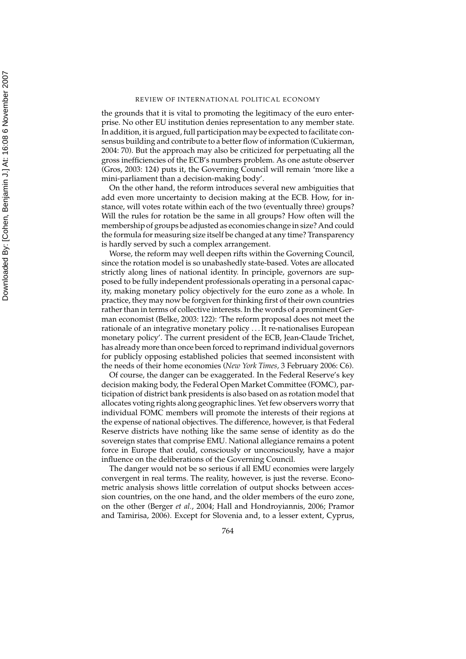the grounds that it is vital to promoting the legitimacy of the euro enterprise. No other EU institution denies representation to any member state. In addition, it is argued, full participation may be expected to facilitate consensus building and contribute to a better flow of information (Cukierman, 2004: 70). But the approach may also be criticized for perpetuating all the gross inefficiencies of the ECB's numbers problem. As one astute observer (Gros, 2003: 124) puts it, the Governing Council will remain 'more like a mini-parliament than a decision-making body'.

On the other hand, the reform introduces several new ambiguities that add even more uncertainty to decision making at the ECB. How, for instance, will votes rotate within each of the two (eventually three) groups? Will the rules for rotation be the same in all groups? How often will the membership of groups be adjusted as economies change in size? And could the formula for measuring size itself be changed at any time? Transparency is hardly served by such a complex arrangement.

Worse, the reform may well deepen rifts within the Governing Council, since the rotation model is so unabashedly state-based. Votes are allocated strictly along lines of national identity. In principle, governors are supposed to be fully independent professionals operating in a personal capacity, making monetary policy objectively for the euro zone as a whole. In practice, they may now be forgiven for thinking first of their own countries rather than in terms of collective interests. In the words of a prominent German economist (Belke, 2003: 122): 'The reform proposal does not meet the rationale of an integrative monetary policy . . . It re-nationalises European monetary policy'. The current president of the ECB, Jean-Claude Trichet, has already more than once been forced to reprimand individual governors for publicly opposing established policies that seemed inconsistent with the needs of their home economies (*New York Times,* 3 February 2006: C6).

Of course, the danger can be exaggerated. In the Federal Reserve's key decision making body, the Federal Open Market Committee (FOMC), participation of district bank presidents is also based on as rotation model that allocates voting rights along geographic lines. Yet few observers worry that individual FOMC members will promote the interests of their regions at the expense of national objectives. The difference, however, is that Federal Reserve districts have nothing like the same sense of identity as do the sovereign states that comprise EMU. National allegiance remains a potent force in Europe that could, consciously or unconsciously, have a major influence on the deliberations of the Governing Council.

The danger would not be so serious if all EMU economies were largely convergent in real terms. The reality, however, is just the reverse. Econometric analysis shows little correlation of output shocks between accession countries, on the one hand, and the older members of the euro zone, on the other (Berger *et al.*, 2004; Hall and Hondroyiannis, 2006; Pramor and Tamirisa, 2006). Except for Slovenia and, to a lesser extent, Cyprus,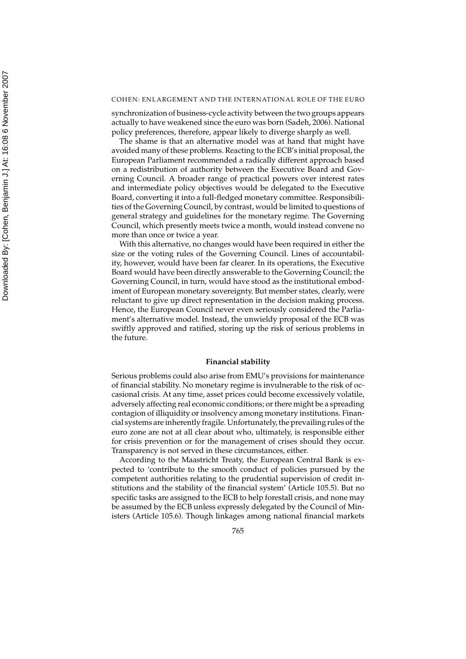synchronization of business-cycle activity between the two groups appears actually to have weakened since the euro was born (Sadeh, 2006). National policy preferences, therefore, appear likely to diverge sharply as well.

The shame is that an alternative model was at hand that might have avoided many of these problems. Reacting to the ECB's initial proposal, the European Parliament recommended a radically different approach based on a redistribution of authority between the Executive Board and Governing Council. A broader range of practical powers over interest rates and intermediate policy objectives would be delegated to the Executive Board, converting it into a full-fledged monetary committee. Responsibilities of the Governing Council, by contrast, would be limited to questions of general strategy and guidelines for the monetary regime. The Governing Council, which presently meets twice a month, would instead convene no more than once or twice a year.

With this alternative, no changes would have been required in either the size or the voting rules of the Governing Council. Lines of accountability, however, would have been far clearer. In its operations, the Executive Board would have been directly answerable to the Governing Council; the Governing Council, in turn, would have stood as the institutional embodiment of European monetary sovereignty. But member states, clearly, were reluctant to give up direct representation in the decision making process. Hence, the European Council never even seriously considered the Parliament's alternative model. Instead, the unwieldy proposal of the ECB was swiftly approved and ratified, storing up the risk of serious problems in the future.

#### **Financial stability**

Serious problems could also arise from EMU's provisions for maintenance of financial stability. No monetary regime is invulnerable to the risk of occasional crisis. At any time, asset prices could become excessively volatile, adversely affecting real economic conditions; or there might be a spreading contagion of illiquidity or insolvency among monetary institutions. Financial systems are inherently fragile. Unfortunately, the prevailing rules of the euro zone are not at all clear about who, ultimately, is responsible either for crisis prevention or for the management of crises should they occur. Transparency is not served in these circumstances, either.

According to the Maastricht Treaty, the European Central Bank is expected to 'contribute to the smooth conduct of policies pursued by the competent authorities relating to the prudential supervision of credit institutions and the stability of the financial system' (Article 105.5). But no specific tasks are assigned to the ECB to help forestall crisis, and none may be assumed by the ECB unless expressly delegated by the Council of Ministers (Article 105.6). Though linkages among national financial markets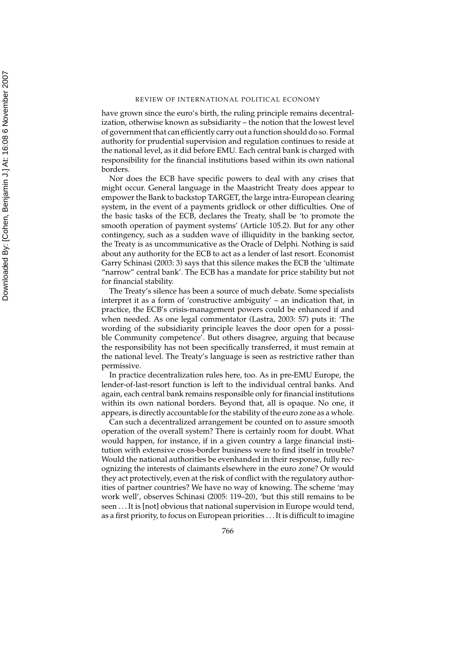have grown since the euro's birth, the ruling principle remains decentralization, otherwise known as subsidiarity – the notion that the lowest level of government that can efficiently carry out a function should do so. Formal authority for prudential supervision and regulation continues to reside at the national level, as it did before EMU. Each central bank is charged with responsibility for the financial institutions based within its own national borders.

Nor does the ECB have specific powers to deal with any crises that might occur. General language in the Maastricht Treaty does appear to empower the Bank to backstop TARGET, the large intra-European clearing system, in the event of a payments gridlock or other difficulties. One of the basic tasks of the ECB, declares the Treaty, shall be 'to promote the smooth operation of payment systems' (Article 105.2). But for any other contingency, such as a sudden wave of illiquidity in the banking sector, the Treaty is as uncommunicative as the Oracle of Delphi. Nothing is said about any authority for the ECB to act as a lender of last resort. Economist Garry Schinasi (2003: 3) says that this silence makes the ECB the 'ultimate "narrow" central bank'. The ECB has a mandate for price stability but not for financial stability.

The Treaty's silence has been a source of much debate. Some specialists interpret it as a form of 'constructive ambiguity' – an indication that, in practice, the ECB's crisis-management powers could be enhanced if and when needed. As one legal commentator (Lastra, 2003: 57) puts it: 'The wording of the subsidiarity principle leaves the door open for a possible Community competence'. But others disagree, arguing that because the responsibility has not been specifically transferred, it must remain at the national level. The Treaty's language is seen as restrictive rather than permissive.

In practice decentralization rules here, too. As in pre-EMU Europe, the lender-of-last-resort function is left to the individual central banks. And again, each central bank remains responsible only for financial institutions within its own national borders. Beyond that, all is opaque. No one, it appears, is directly accountable for the stability of the euro zone as a whole.

Can such a decentralized arrangement be counted on to assure smooth operation of the overall system? There is certainly room for doubt. What would happen, for instance, if in a given country a large financial institution with extensive cross-border business were to find itself in trouble? Would the national authorities be evenhanded in their response, fully recognizing the interests of claimants elsewhere in the euro zone? Or would they act protectively, even at the risk of conflict with the regulatory authorities of partner countries? We have no way of knowing. The scheme 'may work well', observes Schinasi (2005: 119–20), 'but this still remains to be seen . . . It is [not] obvious that national supervision in Europe would tend, as a first priority, to focus on European priorities . . . It is difficult to imagine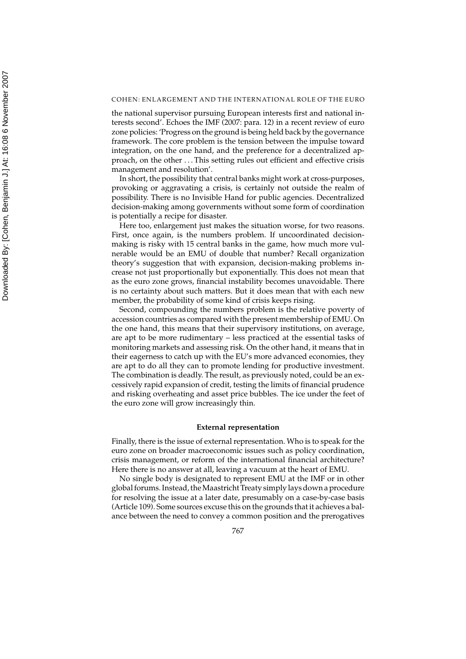the national supervisor pursuing European interests first and national interests second'. Echoes the IMF (2007: para. 12) in a recent review of euro zone policies: 'Progress on the ground is being held back by the governance framework. The core problem is the tension between the impulse toward integration, on the one hand, and the preference for a decentralized approach, on the other . . . This setting rules out efficient and effective crisis management and resolution'.

In short, the possibility that central banks might work at cross-purposes, provoking or aggravating a crisis, is certainly not outside the realm of possibility. There is no Invisible Hand for public agencies. Decentralized decision-making among governments without some form of coordination is potentially a recipe for disaster.

Here too, enlargement just makes the situation worse, for two reasons. First, once again, is the numbers problem. If uncoordinated decisionmaking is risky with 15 central banks in the game, how much more vulnerable would be an EMU of double that number? Recall organization theory's suggestion that with expansion, decision-making problems increase not just proportionally but exponentially. This does not mean that as the euro zone grows, financial instability becomes unavoidable. There is no certainty about such matters. But it does mean that with each new member, the probability of some kind of crisis keeps rising.

Second, compounding the numbers problem is the relative poverty of accession countries as compared with the present membership of EMU. On the one hand, this means that their supervisory institutions, on average, are apt to be more rudimentary – less practiced at the essential tasks of monitoring markets and assessing risk. On the other hand, it means that in their eagerness to catch up with the EU's more advanced economies, they are apt to do all they can to promote lending for productive investment. The combination is deadly. The result, as previously noted, could be an excessively rapid expansion of credit, testing the limits of financial prudence and risking overheating and asset price bubbles. The ice under the feet of the euro zone will grow increasingly thin.

## **External representation**

Finally, there is the issue of external representation. Who is to speak for the euro zone on broader macroeconomic issues such as policy coordination, crisis management, or reform of the international financial architecture? Here there is no answer at all, leaving a vacuum at the heart of EMU.

No single body is designated to represent EMU at the IMF or in other global forums. Instead, the Maastricht Treaty simply lays down a procedure for resolving the issue at a later date, presumably on a case-by-case basis (Article 109). Some sources excuse this on the grounds that it achieves a balance between the need to convey a common position and the prerogatives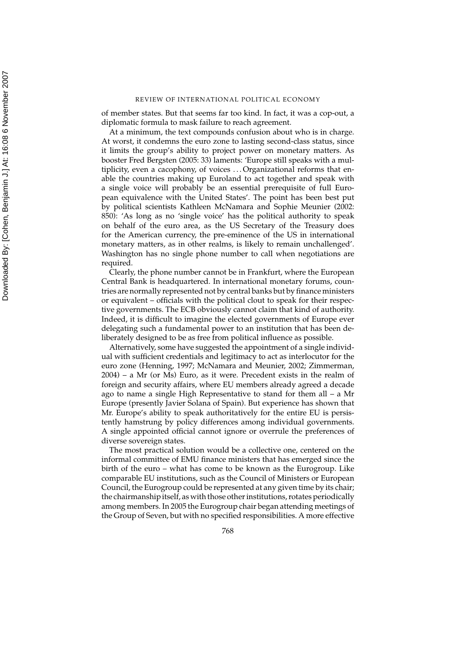of member states. But that seems far too kind. In fact, it was a cop-out, a diplomatic formula to mask failure to reach agreement.

At a minimum, the text compounds confusion about who is in charge. At worst, it condemns the euro zone to lasting second-class status, since it limits the group's ability to project power on monetary matters. As booster Fred Bergsten (2005: 33) laments: 'Europe still speaks with a multiplicity, even a cacophony, of voices ... Organizational reforms that enable the countries making up Euroland to act together and speak with a single voice will probably be an essential prerequisite of full European equivalence with the United States'. The point has been best put by political scientists Kathleen McNamara and Sophie Meunier (2002: 850): 'As long as no 'single voice' has the political authority to speak on behalf of the euro area, as the US Secretary of the Treasury does for the American currency, the pre-eminence of the US in international monetary matters, as in other realms, is likely to remain unchallenged'. Washington has no single phone number to call when negotiations are required.

Clearly, the phone number cannot be in Frankfurt, where the European Central Bank is headquartered. In international monetary forums, countries are normally represented not by central banks but by finance ministers or equivalent – officials with the political clout to speak for their respective governments. The ECB obviously cannot claim that kind of authority. Indeed, it is difficult to imagine the elected governments of Europe ever delegating such a fundamental power to an institution that has been deliberately designed to be as free from political influence as possible.

Alternatively, some have suggested the appointment of a single individual with sufficient credentials and legitimacy to act as interlocutor for the euro zone (Henning, 1997; McNamara and Meunier, 2002; Zimmerman, 2004) – a Mr (or Ms) Euro, as it were. Precedent exists in the realm of foreign and security affairs, where EU members already agreed a decade ago to name a single High Representative to stand for them all – a Mr Europe (presently Javier Solana of Spain). But experience has shown that Mr. Europe's ability to speak authoritatively for the entire EU is persistently hamstrung by policy differences among individual governments. A single appointed official cannot ignore or overrule the preferences of diverse sovereign states.

The most practical solution would be a collective one, centered on the informal committee of EMU finance ministers that has emerged since the birth of the euro – what has come to be known as the Eurogroup. Like comparable EU institutions, such as the Council of Ministers or European Council, the Eurogroup could be represented at any given time by its chair; the chairmanship itself, as with those other institutions, rotates periodically among members. In 2005 the Eurogroup chair began attending meetings of the Group of Seven, but with no specified responsibilities. A more effective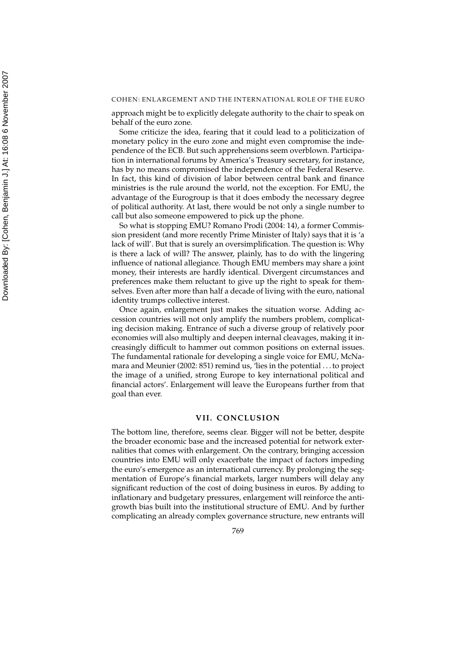approach might be to explicitly delegate authority to the chair to speak on behalf of the euro zone.

Some criticize the idea, fearing that it could lead to a politicization of monetary policy in the euro zone and might even compromise the independence of the ECB. But such apprehensions seem overblown. Participation in international forums by America's Treasury secretary, for instance, has by no means compromised the independence of the Federal Reserve. In fact, this kind of division of labor between central bank and finance ministries is the rule around the world, not the exception. For EMU, the advantage of the Eurogroup is that it does embody the necessary degree of political authority. At last, there would be not only a single number to call but also someone empowered to pick up the phone.

So what is stopping EMU? Romano Prodi (2004: 14), a former Commission president (and more recently Prime Minister of Italy) says that it is 'a lack of will'. But that is surely an oversimplification. The question is: Why is there a lack of will? The answer, plainly, has to do with the lingering influence of national allegiance. Though EMU members may share a joint money, their interests are hardly identical. Divergent circumstances and preferences make them reluctant to give up the right to speak for themselves. Even after more than half a decade of living with the euro, national identity trumps collective interest.

Once again, enlargement just makes the situation worse. Adding accession countries will not only amplify the numbers problem, complicating decision making. Entrance of such a diverse group of relatively poor economies will also multiply and deepen internal cleavages, making it increasingly difficult to hammer out common positions on external issues. The fundamental rationale for developing a single voice for EMU, McNamara and Meunier (2002: 851) remind us, 'lies in the potential . . . to project the image of a unified, strong Europe to key international political and financial actors'. Enlargement will leave the Europeans further from that goal than ever.

# **VII. CONCLUSION**

The bottom line, therefore, seems clear. Bigger will not be better, despite the broader economic base and the increased potential for network externalities that comes with enlargement. On the contrary, bringing accession countries into EMU will only exacerbate the impact of factors impeding the euro's emergence as an international currency. By prolonging the segmentation of Europe's financial markets, larger numbers will delay any significant reduction of the cost of doing business in euros. By adding to inflationary and budgetary pressures, enlargement will reinforce the antigrowth bias built into the institutional structure of EMU. And by further complicating an already complex governance structure, new entrants will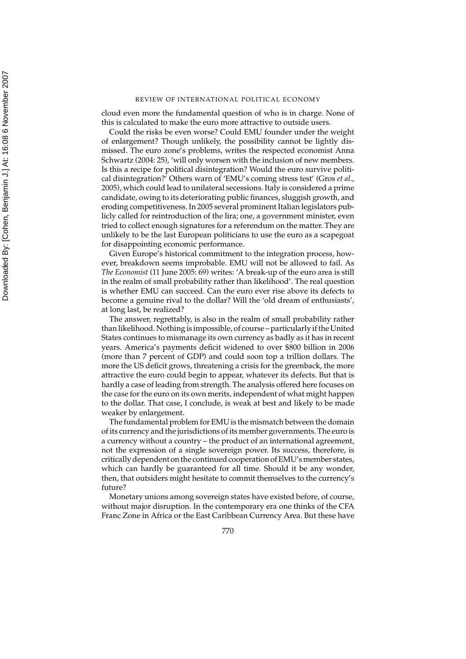cloud even more the fundamental question of who is in charge. None of this is calculated to make the euro more attractive to outside users.

Could the risks be even worse? Could EMU founder under the weight of enlargement? Though unlikely, the possibility cannot be lightly dismissed. The euro zone's problems, writes the respected economist Anna Schwartz (2004: 25), 'will only worsen with the inclusion of new members. Is this a recipe for political disintegration? Would the euro survive political disintegration?' Others warn of 'EMU's coming stress test' (Gros *et al*., 2005), which could lead to unilateral secessions. Italy is considered a prime candidate, owing to its deteriorating public finances, sluggish growth, and eroding competitiveness. In 2005 several prominent Italian legislators publicly called for reintroduction of the lira; one, a government minister, even tried to collect enough signatures for a referendum on the matter. They are unlikely to be the last European politicians to use the euro as a scapegoat for disappointing economic performance.

Given Europe's historical commitment to the integration process, however, breakdown seems improbable. EMU will not be allowed to fail. As *The Economist* (11 June 2005: 69) writes: 'A break-up of the euro area is still in the realm of small probability rather than likelihood'. The real question is whether EMU can succeed. Can the euro ever rise above its defects to become a genuine rival to the dollar? Will the 'old dream of enthusiasts', at long last, be realized?

The answer, regrettably, is also in the realm of small probability rather than likelihood. Nothing is impossible, of course – particularly if the United States continues to mismanage its own currency as badly as it has in recent years. America's payments deficit widened to over \$800 billion in 2006 (more than 7 percent of GDP) and could soon top a trillion dollars. The more the US deficit grows, threatening a crisis for the greenback, the more attractive the euro could begin to appear, whatever its defects. But that is hardly a case of leading from strength. The analysis offered here focuses on the case for the euro on its own merits, independent of what might happen to the dollar. That case, I conclude, is weak at best and likely to be made weaker by enlargement.

The fundamental problem for EMU is the mismatch between the domain of its currency and the jurisdictions of its member governments. The euro is a currency without a country – the product of an international agreement, not the expression of a single sovereign power. Its success, therefore, is critically dependent on the continued cooperation of EMU's member states, which can hardly be guaranteed for all time. Should it be any wonder, then, that outsiders might hesitate to commit themselves to the currency's future?

Monetary unions among sovereign states have existed before, of course, without major disruption. In the contemporary era one thinks of the CFA Franc Zone in Africa or the East Caribbean Currency Area. But these have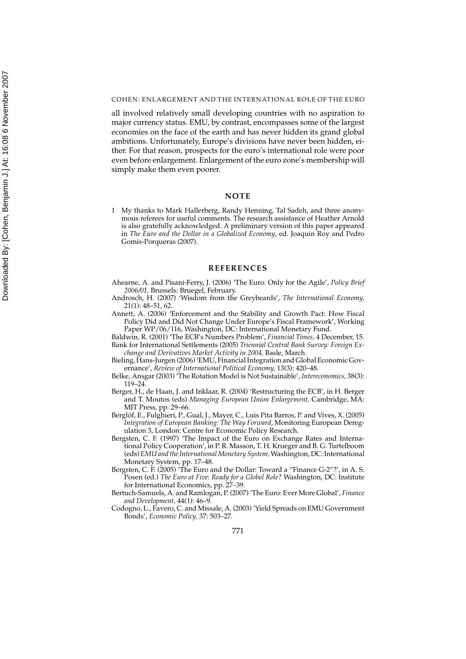all involved relatively small developing countries with no aspiration to major currency status. EMU, by contrast, encompasses some of the largest economies on the face of the earth and has never hidden its grand global ambitions. Unfortunately, Europe's divisions have never been hidden, either. For that reason, prospects for the euro's international role were poor even before enlargement. Enlargement of the euro zone's membership will simply make them even poorer.

# **NOTE**

1 My thanks to Mark Hallerberg, Randy Henning, Tal Sadeh, and three anonymous referees for useful comments. The research assistance of Heather Arnold is also gratefully acknowledged. A preliminary version of this paper appeared in *The Euro and the Dollar in a Globalized Economy*, ed. Joaquin Roy and Pedro Gomis-Porqueras (2007).

#### **REFERENCES**

- Ahearne, A. and Pisani-Ferry, J. (2006) 'The Euro: Only for the Agile', *Policy Brief 2006/01,* Brussels: Bruegel, February.
- Androsch, H. (2007) 'Wisdom from the Greybeards', *The International Economy,* 21(1): 48–51, 62.
- Annett, A. (2006) 'Enforcement and the Stability and Growth Pact: How Fiscal Policy Did and Did Not Change Under Europe's Fiscal Framework', Working Paper WP/06/116, Washington, DC: International Monetary Fund.

Baldwin, R. (2001) 'The ECB's Numbers Problem', *Financial Times,* 4 December, 15. Bank for International Settlements (2005) *Triennial Central Bank Survey: Foreign Exchange and Derivatives Market Activity in 2004,* Basle, March.

- Bieling, Hans-Jurgen (2006) 'EMU, Financial Integration and Global Economic Governance', *Review of International Political Economy,* 13(3): 420–48.
- Belke, Ansgar (2003) 'The Rotation Model is Not Sustainable', *Intereconomics,* 38(3): 119–24.
- Berger, H., de Haan, J. and Inklaar, R. (2004) 'Restructuring the ECB', in H. Berger and T. Moutos (eds) *Managing European Union Enlargement,* Cambridge, MA: MIT Press, pp. 29–66.
- Berglöf, E., Fulghieri, P., Gual, J., Mayer, C., Luis Pita Barros, P. and Vives, X. (2005) *Integration of European Banking: The Way Forward*, Monitoring European Deregulation 3, London: Centre for Economic Policy Research.
- Bergsten, C. F. (1997) 'The Impact of the Euro on Exchange Rates and International Policy Cooperation', in P. R. Masson, T. H. Krueger and B. G. Turtelboom (eds) *EMU and the International Monetary System,*Washington, DC: International Monetary System, pp. 17–48.
- Bergsten, C. F. (2005) 'The Euro and the Dollar: Toward a "Finance G-2"?', in A. S. Posen (ed.) *The Euro at Five: Ready for a Global Role?* Washington, DC: Institute for International Economics, pp. 27–39.
- Bertuch-Samuels, A. and Ramlogan, P. (2007) 'The Euro: Ever More Global', *Finance and Development,* 44(1): 46–9.
- Codogno, L., Favero, C. and Missale, A. (2003) 'Yield Spreads on EMU Government Bonds', *Economic Policy,* 37: 503–27.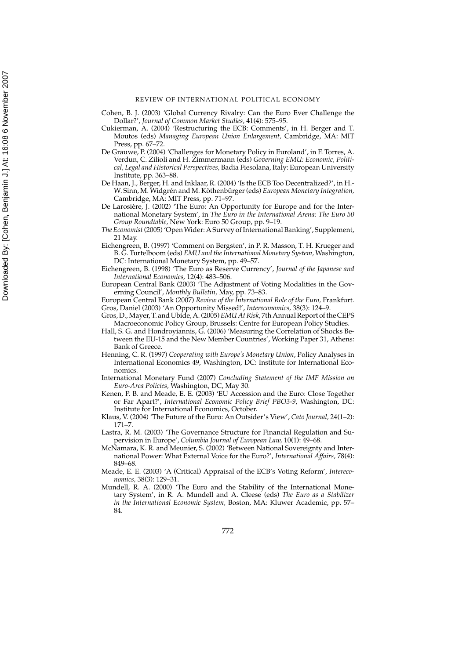- Cohen, B. J. (2003) 'Global Currency Rivalry: Can the Euro Ever Challenge the Dollar?', *Journal of Common Market Studies,* 41(4): 575–95.
- Cukierman, A. (2004) 'Restructuring the ECB: Comments', in H. Berger and T. Moutos (eds) *Managing European Union Enlargement,* Cambridge, MA: MIT Press, pp. 67–72.
- De Grauwe, P. (2004) 'Challenges for Monetary Policy in Euroland', in F. Torres, A. Verdun, C. Zilioli and H. Zimmermann (eds) *Governing EMU: Economic, Political, Legal and Historical Perspectives,* Badia Fiesolana, Italy: European University Institute, pp. 363–88.
- De Haan, J., Berger, H. and Inklaar, R. (2004) 'Is the ECB Too Decentralized?', in H.- W. Sinn, M. Widgrén and M. Köthenbürger (eds) *European Monetary Integration*, Cambridge, MA: MIT Press, pp. 71–97.
- De Larosière, J. (2002) 'The Euro: An Opportunity for Europe and for the International Monetary System', in *The Euro in the International Arena: The Euro 50 Group Roundtable,* New York: Euro 50 Group, pp. 9–19.
- *The Economist*(2005) 'Open Wider: A Survey of International Banking', Supplement, 21 May.
- Eichengreen, B. (1997) 'Comment on Bergsten', in P. R. Masson, T. H. Krueger and B. G. Turtelboom (eds) *EMU and the International Monetary System,* Washington, DC: International Monetary System, pp. 49–57.
- Eichengreen, B. (1998) 'The Euro as Reserve Currency', *Journal of the Japanese and International Economies,* 12(4): 483–506.
- European Central Bank (2003) 'The Adjustment of Voting Modalities in the Governing Council', *Monthly Bulletin,* May, pp. 73–83.

European Central Bank (2007) *Review of the International Role of the Euro,* Frankfurt. Gros, Daniel (2003) 'An Opportunity Missed!', *Intereconomics,* 38(3): 124–9.

- Gros, D., Mayer, T. and Ubide, A. (2005)*EMU At Risk*, 7th Annual Report of the CEPS Macroeconomic Policy Group, Brussels: Centre for European Policy Studies.
- Hall, S. G. and Hondroyiannis, G. (2006) 'Measuring the Correlation of Shocks Between the EU-15 and the New Member Countries', Working Paper 31, Athens: Bank of Greece.
- Henning, C. R. (1997) *Cooperating with Europe's Monetary Union*, Policy Analyses in International Economics 49, Washington, DC: Institute for International Economics.
- International Monetary Fund (2007) *Concluding Statement of the IMF Mission on Euro-Area Policies,* Washington, DC, May 30.
- Kenen, P. B. and Meade, E. E. (2003) 'EU Accession and the Euro: Close Together or Far Apart?', *International Economic Policy Brief PBO3-9*, Washington, DC: Institute for International Economics, October.
- Klaus, V. (2004) 'The Future of the Euro: An Outsider's View', *Cato Journal,* 24(1–2): 171–7.
- Lastra, R. M. (2003) 'The Governance Structure for Financial Regulation and Supervision in Europe', *Columbia Journal of European Law,* 10(1): 49–68.
- McNamara, K. R. and Meunier, S. (2002) 'Between National Sovereignty and International Power: What External Voice for the Euro?', *International Affairs,* 78(4): 849–68.
- Meade, E. E. (2003) 'A (Critical) Appraisal of the ECB's Voting Reform', *Intereconomics,* 38(3): 129–31.
- Mundell, R. A. (2000) 'The Euro and the Stability of the International Monetary System', in R. A. Mundell and A. Cleese (eds) *The Euro as a Stabilizer in the International Economic System,* Boston, MA: Kluwer Academic, pp. 57– 84.